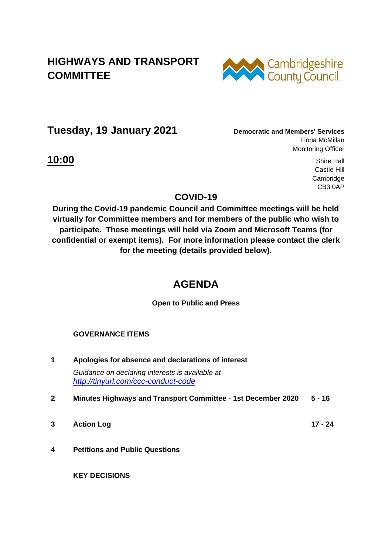## **HIGHWAYS AND TRANSPORT COMMITTEE**



**Tuesday, 19 January 2021 Democratic and Members' Services**

Fiona McMillan Monitoring Officer

**10:00** Shire Hall Castle Hill Cambridge CB3 0AP

### **COVID-19**

**During the Covid-19 pandemic Council and Committee meetings will be held virtually for Committee members and for members of the public who wish to participate. These meetings will held via Zoom and Microsoft Teams (for confidential or exempt items). For more information please contact the clerk for the meeting (details provided below).** 

# **AGENDA**

**Open to Public and Press**

#### **GOVERNANCE ITEMS**

- **1 Apologies for absence and declarations of interest** *Guidance on declaring interests is available at <http://tinyurl.com/ccc-conduct-code>*
- **2 Minutes Highways and Transport Committee - 1st December 2020 5 - 16**
- **3 Action Log 17 - 24**

**4 Petitions and Public Questions**

**KEY DECISIONS**